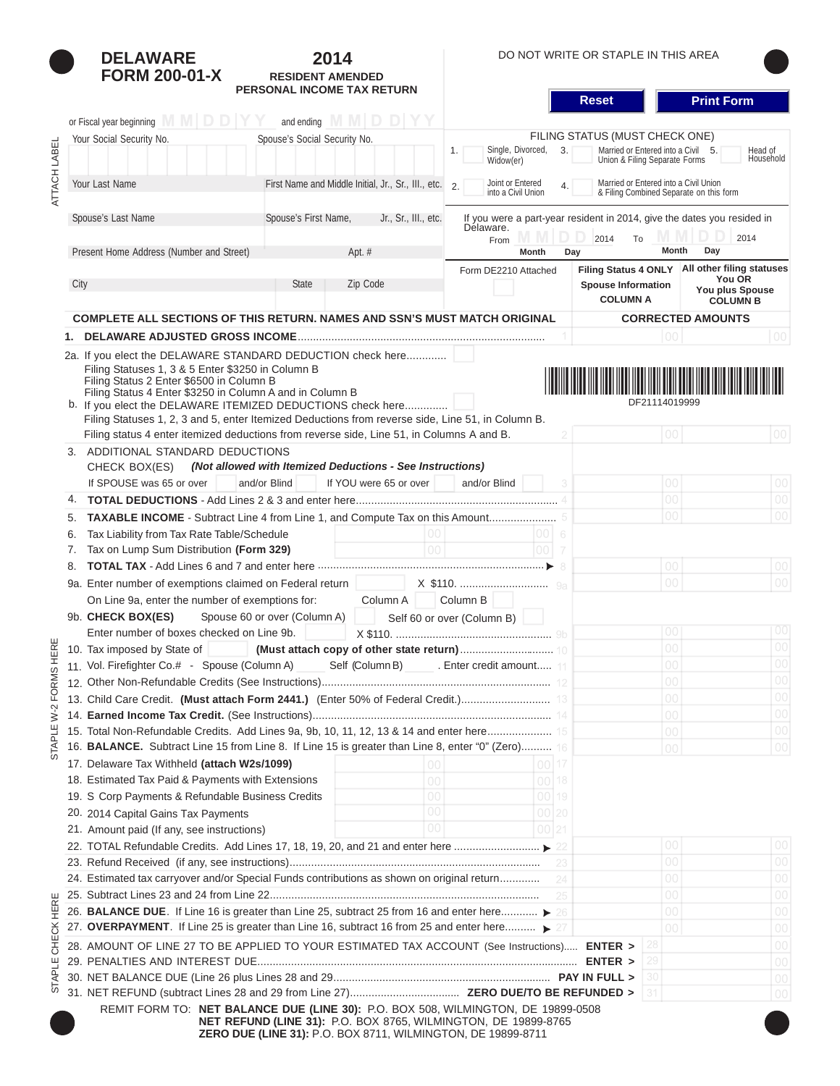|              | <b>DELAWARE</b>                                                                                                                                           | 2014                                                                                                                                                                                                                                                                                                                         |                                                                                                                                  | DO NOT WRITE OR STAPLE IN THIS AREA                                                                                                           |                                                            |  |  |
|--------------|-----------------------------------------------------------------------------------------------------------------------------------------------------------|------------------------------------------------------------------------------------------------------------------------------------------------------------------------------------------------------------------------------------------------------------------------------------------------------------------------------|----------------------------------------------------------------------------------------------------------------------------------|-----------------------------------------------------------------------------------------------------------------------------------------------|------------------------------------------------------------|--|--|
|              | <b>FORM 200-01-X</b>                                                                                                                                      | <b>RESIDENT AMENDED</b>                                                                                                                                                                                                                                                                                                      |                                                                                                                                  |                                                                                                                                               |                                                            |  |  |
|              |                                                                                                                                                           | PERSONAL INCOME TAX RETURN                                                                                                                                                                                                                                                                                                   |                                                                                                                                  | <b>Reset</b>                                                                                                                                  | <b>Print Form</b>                                          |  |  |
|              | or Fiscal year beginning M M D D   Y                                                                                                                      | and ending $M \cup D \cup Y$                                                                                                                                                                                                                                                                                                 |                                                                                                                                  |                                                                                                                                               |                                                            |  |  |
|              |                                                                                                                                                           |                                                                                                                                                                                                                                                                                                                              |                                                                                                                                  |                                                                                                                                               |                                                            |  |  |
|              | Your Social Security No.                                                                                                                                  | Spouse's Social Security No.                                                                                                                                                                                                                                                                                                 | Single, Divorced,<br>3.<br>1.<br>Widow(er)                                                                                       | FILING STATUS (MUST CHECK ONE)<br>Married or Entered into a Civil 5.<br>Head of<br>Union & Filing Separate Forms<br>Household                 |                                                            |  |  |
| ATTACH LABEL | Your Last Name                                                                                                                                            | First Name and Middle Initial, Jr., Sr., III., etc.                                                                                                                                                                                                                                                                          | Joint or Entered<br>2.<br>4.<br>into a Civil Union                                                                               | Married or Entered into a Civil Union<br>& Filing Combined Separate on this form                                                              |                                                            |  |  |
|              | Spouse's Last Name                                                                                                                                        | Spouse's First Name,<br>Jr., Sr., III., etc.                                                                                                                                                                                                                                                                                 | If you were a part-year resident in 2014, give the dates you resided in<br>Délaware.<br>IV M<br>D.<br>2014<br>2014<br>To<br>From |                                                                                                                                               |                                                            |  |  |
|              | Present Home Address (Number and Street)                                                                                                                  | Apt. #                                                                                                                                                                                                                                                                                                                       | Month                                                                                                                            | Month<br>Day                                                                                                                                  | Day                                                        |  |  |
|              |                                                                                                                                                           |                                                                                                                                                                                                                                                                                                                              | Form DE2210 Attached                                                                                                             |                                                                                                                                               | Filing Status 4 ONLY   All other filing statuses<br>You OR |  |  |
|              | City                                                                                                                                                      | Zip Code<br><b>State</b>                                                                                                                                                                                                                                                                                                     |                                                                                                                                  | <b>Spouse Information</b>                                                                                                                     | You plus Spouse                                            |  |  |
|              |                                                                                                                                                           |                                                                                                                                                                                                                                                                                                                              |                                                                                                                                  | <b>COLUMN A</b>                                                                                                                               | <b>COLUMN B</b>                                            |  |  |
|              |                                                                                                                                                           | COMPLETE ALL SECTIONS OF THIS RETURN. NAMES AND SSN'S MUST MATCH ORIGINAL                                                                                                                                                                                                                                                    |                                                                                                                                  |                                                                                                                                               | <b>CORRECTED AMOUNTS</b>                                   |  |  |
|              |                                                                                                                                                           |                                                                                                                                                                                                                                                                                                                              |                                                                                                                                  | 1001                                                                                                                                          | 00                                                         |  |  |
|              | Filing Statuses 1, 3 & 5 Enter \$3250 in Column B<br>Filing Status 2 Enter \$6500 in Column B<br>Filing Status 4 Enter \$3250 in Column A and in Column B | 2a. If you elect the DELAWARE STANDARD DEDUCTION check here<br>b. If you elect the DELAWARE ITEMIZED DEDUCTIONS check here<br>Filing Statuses 1, 2, 3 and 5, enter Itemized Deductions from reverse side, Line 51, in Column B.<br>Filing status 4 enter itemized deductions from reverse side, Line 51, in Columns A and B. |                                                                                                                                  | <u> Harry Harry Harry Harry Harry Harry Harry Harry Harry Harry Harry Harry Harry Harry Harry Harry Harry Harry H</u><br>DF21114019999<br> 00 | 00                                                         |  |  |
|              | 3. ADDITIONAL STANDARD DEDUCTIONS                                                                                                                         |                                                                                                                                                                                                                                                                                                                              |                                                                                                                                  |                                                                                                                                               |                                                            |  |  |
|              | CHECK BOX(ES)                                                                                                                                             | (Not allowed with Itemized Deductions - See Instructions)                                                                                                                                                                                                                                                                    |                                                                                                                                  |                                                                                                                                               |                                                            |  |  |
|              | If SPOUSE was 65 or over                                                                                                                                  | and/or Blind<br>If YOU were 65 or over                                                                                                                                                                                                                                                                                       | and/or Blind                                                                                                                     | 00                                                                                                                                            | 00                                                         |  |  |
| 4.           |                                                                                                                                                           |                                                                                                                                                                                                                                                                                                                              |                                                                                                                                  | 00                                                                                                                                            | 00                                                         |  |  |
| 5.           |                                                                                                                                                           | <b>TAXABLE INCOME</b> - Subtract Line 4 from Line 1, and Compute Tax on this Amount                                                                                                                                                                                                                                          |                                                                                                                                  | 00                                                                                                                                            | 00                                                         |  |  |
| 6.           | Tax Liability from Tax Rate Table/Schedule                                                                                                                | 00 <sub>1</sub>                                                                                                                                                                                                                                                                                                              | 00                                                                                                                               |                                                                                                                                               |                                                            |  |  |
| 7.           | Tax on Lump Sum Distribution (Form 329)                                                                                                                   | 00                                                                                                                                                                                                                                                                                                                           | 100                                                                                                                              |                                                                                                                                               |                                                            |  |  |
|              |                                                                                                                                                           |                                                                                                                                                                                                                                                                                                                              |                                                                                                                                  | 00                                                                                                                                            | 00 <sup>1</sup>                                            |  |  |
| 8.           |                                                                                                                                                           |                                                                                                                                                                                                                                                                                                                              |                                                                                                                                  |                                                                                                                                               |                                                            |  |  |
|              | 9a. Enter number of exemptions claimed on Federal return                                                                                                  |                                                                                                                                                                                                                                                                                                                              |                                                                                                                                  | $00\,$                                                                                                                                        | 00 <sup>1</sup>                                            |  |  |
|              | Column A<br>On Line 9a, enter the number of exemptions for:<br>Column B                                                                                   |                                                                                                                                                                                                                                                                                                                              |                                                                                                                                  |                                                                                                                                               |                                                            |  |  |
|              | 9b. CHECK BOX(ES)                                                                                                                                         | Spouse 60 or over (Column A)                                                                                                                                                                                                                                                                                                 | Self 60 or over (Column B)                                                                                                       |                                                                                                                                               |                                                            |  |  |
|              | Enter number of boxes checked on Line 9b.                                                                                                                 |                                                                                                                                                                                                                                                                                                                              |                                                                                                                                  | 100                                                                                                                                           | 00                                                         |  |  |
| HER          | 10. Tax imposed by State of                                                                                                                               |                                                                                                                                                                                                                                                                                                                              |                                                                                                                                  | 00                                                                                                                                            | $00\,$                                                     |  |  |
|              |                                                                                                                                                           | 11. Vol. Firefighter Co.# - Spouse (Column A) Self (Column B) . Enter credit amount 11                                                                                                                                                                                                                                       |                                                                                                                                  |                                                                                                                                               |                                                            |  |  |
| FORM         |                                                                                                                                                           |                                                                                                                                                                                                                                                                                                                              |                                                                                                                                  | 00                                                                                                                                            | 00                                                         |  |  |
| $\sim$       |                                                                                                                                                           |                                                                                                                                                                                                                                                                                                                              |                                                                                                                                  | 00                                                                                                                                            | $00\,$                                                     |  |  |
| ż            |                                                                                                                                                           |                                                                                                                                                                                                                                                                                                                              |                                                                                                                                  | 00                                                                                                                                            | 00                                                         |  |  |
| 님.           |                                                                                                                                                           | 15. Total Non-Refundable Credits. Add Lines 9a, 9b, 10, 11, 12, 13 & 14 and enter here 15                                                                                                                                                                                                                                    |                                                                                                                                  | 00                                                                                                                                            | $00\,$                                                     |  |  |
| SТА          |                                                                                                                                                           | 16. BALANCE. Subtract Line 15 from Line 8. If Line 15 is greater than Line 8, enter "0" (Zero) 16                                                                                                                                                                                                                            |                                                                                                                                  | 00                                                                                                                                            | 00                                                         |  |  |
|              | 17. Delaware Tax Withheld (attach W2s/1099)                                                                                                               | $00\,$                                                                                                                                                                                                                                                                                                                       | 00 17                                                                                                                            |                                                                                                                                               |                                                            |  |  |
|              | 18. Estimated Tax Paid & Payments with Extensions                                                                                                         | 00                                                                                                                                                                                                                                                                                                                           | 00 18                                                                                                                            |                                                                                                                                               |                                                            |  |  |
|              | 19. S Corp Payments & Refundable Business Credits                                                                                                         | 00                                                                                                                                                                                                                                                                                                                           | 00 19                                                                                                                            |                                                                                                                                               |                                                            |  |  |
|              | 20. 2014 Capital Gains Tax Payments                                                                                                                       | 00                                                                                                                                                                                                                                                                                                                           | 00 20                                                                                                                            |                                                                                                                                               |                                                            |  |  |
|              | 21. Amount paid (If any, see instructions)                                                                                                                | 00                                                                                                                                                                                                                                                                                                                           | 00 21                                                                                                                            |                                                                                                                                               |                                                            |  |  |
|              |                                                                                                                                                           |                                                                                                                                                                                                                                                                                                                              |                                                                                                                                  | 00                                                                                                                                            | 00                                                         |  |  |
|              |                                                                                                                                                           |                                                                                                                                                                                                                                                                                                                              | -23                                                                                                                              | 00                                                                                                                                            | 00                                                         |  |  |
|              |                                                                                                                                                           | 24. Estimated tax carryover and/or Special Funds contributions as shown on original return                                                                                                                                                                                                                                   | -24                                                                                                                              | 00                                                                                                                                            | $00\,$                                                     |  |  |
| ш            |                                                                                                                                                           | 00                                                                                                                                                                                                                                                                                                                           | 00                                                                                                                               |                                                                                                                                               |                                                            |  |  |
| <b>HER</b>   |                                                                                                                                                           | 26. BALANCE DUE. If Line 16 is greater than Line 25, subtract 25 from 16 and enter here                                                                                                                                                                                                                                      |                                                                                                                                  | 00                                                                                                                                            | ${\rm O}0$                                                 |  |  |
|              |                                                                                                                                                           | 27. OVERPAYMENT. If Line 25 is greater than Line 16, subtract 16 from 25 and enter here                                                                                                                                                                                                                                      |                                                                                                                                  | 00 <sup>o</sup>                                                                                                                               | $00\,$                                                     |  |  |
| <b>CHECK</b> |                                                                                                                                                           | 28. AMOUNT OF LINE 27 TO BE APPLIED TO YOUR ESTIMATED TAX ACCOUNT (See Instructions) ENTER >                                                                                                                                                                                                                                 |                                                                                                                                  |                                                                                                                                               | 00                                                         |  |  |
| щ            |                                                                                                                                                           |                                                                                                                                                                                                                                                                                                                              |                                                                                                                                  |                                                                                                                                               | 00                                                         |  |  |
| <b>STAPL</b> |                                                                                                                                                           |                                                                                                                                                                                                                                                                                                                              |                                                                                                                                  |                                                                                                                                               | 00                                                         |  |  |
|              |                                                                                                                                                           |                                                                                                                                                                                                                                                                                                                              |                                                                                                                                  |                                                                                                                                               | 00                                                         |  |  |
|              |                                                                                                                                                           | REMIT FORM TO: NET BALANCE DUE (LINE 30): P.O. BOX 508, WILMINGTON, DE 19899-0508                                                                                                                                                                                                                                            |                                                                                                                                  |                                                                                                                                               |                                                            |  |  |
|              |                                                                                                                                                           | NET REFUND (LINE 31): P.O. BOX 8765, WILMINGTON, DE 19899-8765                                                                                                                                                                                                                                                               |                                                                                                                                  |                                                                                                                                               |                                                            |  |  |

|  |  | IN LET IN LET UNDER THE U.S. LO. DON OF 03, WILDHING FOR, DE 19099- |  |  |
|--|--|---------------------------------------------------------------------|--|--|
|  |  | <b>ZERO DUE (LINE 31):</b> P.O. BOX 8711, WILMINGTON, DE 19899-8711 |  |  |